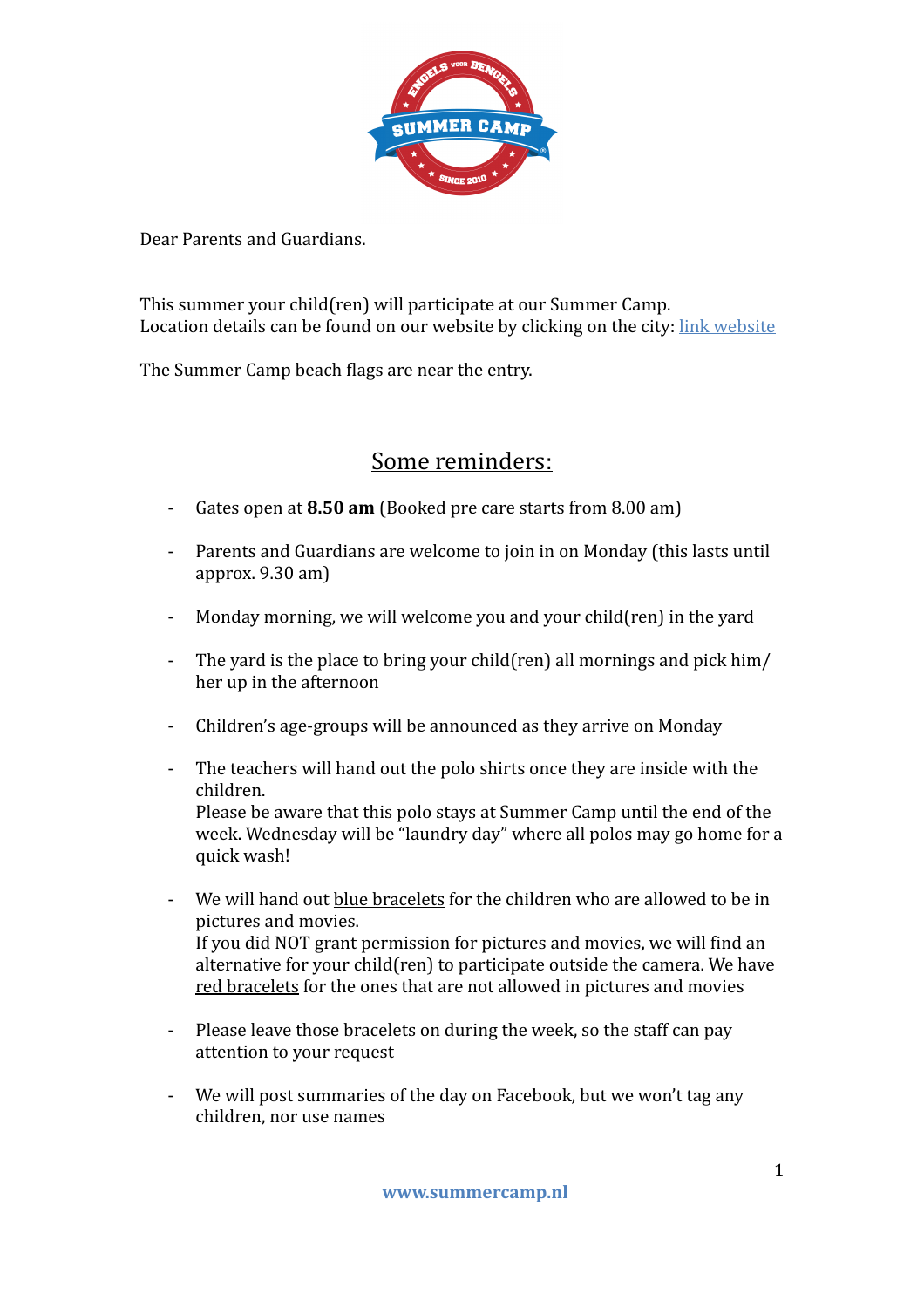

Dear Parents and Guardians.

This summer your child(ren) will participate at our Summer Camp. Location details can be found on our website by clicking on the city: link website

The Summer Camp beach flags are near the entry.

## Some reminders:

- Gates open at **8.50 am** (Booked pre care starts from 8.00 am)
- Parents and Guardians are welcome to join in on Monday (this lasts until approx.  $9.30$  am)
- Monday morning, we will welcome you and your child(ren) in the yard
- The yard is the place to bring your child(ren) all mornings and pick  $\lim$ her up in the afternoon
- Children's age-groups will be announced as they arrive on Monday
- The teachers will hand out the polo shirts once they are inside with the children. Please be aware that this polo stays at Summer Camp until the end of the

week. Wednesday will be "laundry day" where all polos may go home for a quick wash!

- We will hand out blue bracelets for the children who are allowed to be in pictures and movies. If you did NOT grant permission for pictures and movies, we will find an alternative for your child(ren) to participate outside the camera. We have red bracelets for the ones that are not allowed in pictures and movies
- Please leave those bracelets on during the week, so the staff can pay attention to your request
- We will post summaries of the day on Facebook, but we won't tag any children, nor use names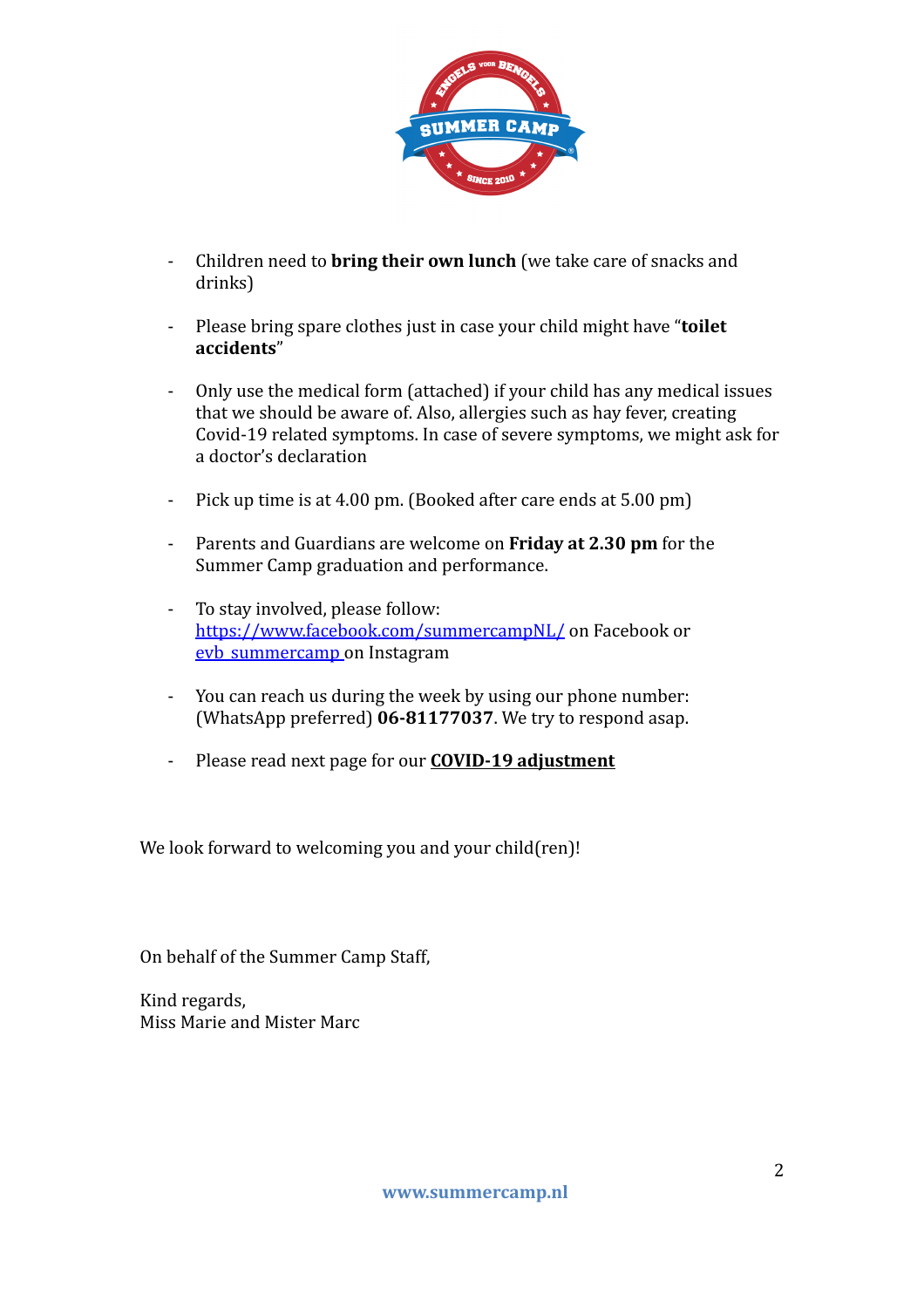

- Children need to **bring their own lunch** (we take care of snacks and drinks)
- Please bring spare clothes just in case your child might have "**toilet accidents**"
- Only use the medical form (attached) if your child has any medical issues that we should be aware of. Also, allergies such as hay fever, creating Covid-19 related symptoms. In case of severe symptoms, we might ask for a doctor's declaration
- Pick up time is at 4.00 pm. (Booked after care ends at 5.00 pm)
- Parents and Guardians are welcome on **Friday at 2.30 pm** for the Summer Camp graduation and performance.
- To stay involved, please follow: <https://www.facebook.com/summercampNL/> on Facebook or evb summercamp on Instagram
- You can reach us during the week by using our phone number: (WhatsApp preferred) 06-81177037. We try to respond asap.
- Please read next page for our **COVID-19 adjustment**

We look forward to welcoming you and your child(ren)!

On behalf of the Summer Camp Staff,

Kind regards, Miss Marie and Mister Marc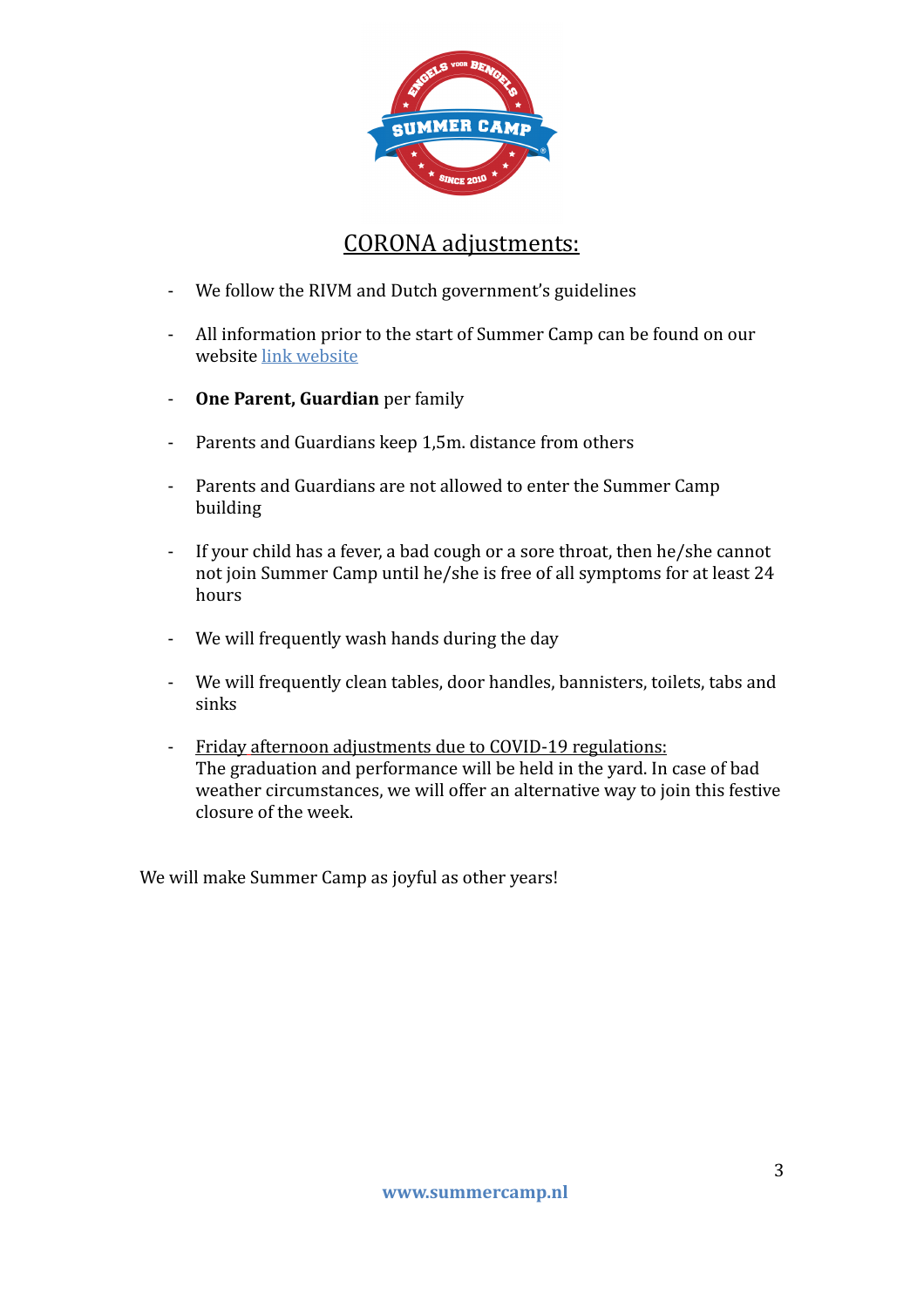

## CORONA adjustments:

- We follow the RIVM and Dutch government's guidelines
- All information prior to the start of Summer Camp can be found on our website link website
- **One Parent, Guardian** per family
- Parents and Guardians keep 1,5m. distance from others
- Parents and Guardians are not allowed to enter the Summer Camp building
- If your child has a fever, a bad cough or a sore throat, then he/she cannot not join Summer Camp until he/she is free of all symptoms for at least 24 hours
- We will frequently wash hands during the day
- We will frequently clean tables, door handles, bannisters, toilets, tabs and sinks
- Friday afternoon adjustments due to COVID-19 regulations: The graduation and performance will be held in the yard. In case of bad weather circumstances, we will offer an alternative way to join this festive closure of the week.

We will make Summer Camp as joyful as other years!